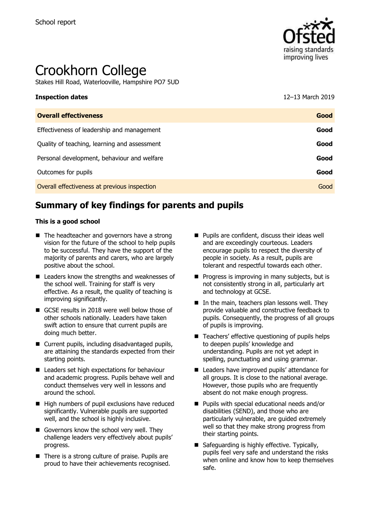

# Crookhorn College

Stakes Hill Road, Waterlooville, Hampshire PO7 5UD

## **Inspection dates** 12–13 March 2019

| <b>Overall effectiveness</b>                 | Good |
|----------------------------------------------|------|
| Effectiveness of leadership and management   | Good |
| Quality of teaching, learning and assessment | Good |
| Personal development, behaviour and welfare  | Good |
| Outcomes for pupils                          | Good |
| Overall effectiveness at previous inspection | Good |

# **Summary of key findings for parents and pupils**

#### **This is a good school**

- $\blacksquare$  The headteacher and governors have a strong vision for the future of the school to help pupils to be successful. They have the support of the majority of parents and carers, who are largely positive about the school.
- Leaders know the strengths and weaknesses of the school well. Training for staff is very effective. As a result, the quality of teaching is improving significantly.
- GCSE results in 2018 were well below those of other schools nationally. Leaders have taken swift action to ensure that current pupils are doing much better.
- Current pupils, including disadvantaged pupils, are attaining the standards expected from their starting points.
- Leaders set high expectations for behaviour and academic progress. Pupils behave well and conduct themselves very well in lessons and around the school.
- High numbers of pupil exclusions have reduced significantly. Vulnerable pupils are supported well, and the school is highly inclusive.
- Governors know the school very well. They challenge leaders very effectively about pupils' progress.
- There is a strong culture of praise. Pupils are proud to have their achievements recognised.
- **Pupils are confident, discuss their ideas well** and are exceedingly courteous. Leaders encourage pupils to respect the diversity of people in society. As a result, pupils are tolerant and respectful towards each other.
- $\blacksquare$  Progress is improving in many subjects, but is not consistently strong in all, particularly art and technology at GCSE.
- $\blacksquare$  In the main, teachers plan lessons well. They provide valuable and constructive feedback to pupils. Consequently, the progress of all groups of pupils is improving.
- Teachers' effective questioning of pupils helps to deepen pupils' knowledge and understanding. Pupils are not yet adept in spelling, punctuating and using grammar.
- Leaders have improved pupils' attendance for all groups. It is close to the national average. However, those pupils who are frequently absent do not make enough progress.
- **Pupils with special educational needs and/or** disabilities (SEND), and those who are particularly vulnerable, are guided extremely well so that they make strong progress from their starting points.
- Safeguarding is highly effective. Typically, pupils feel very safe and understand the risks when online and know how to keep themselves safe.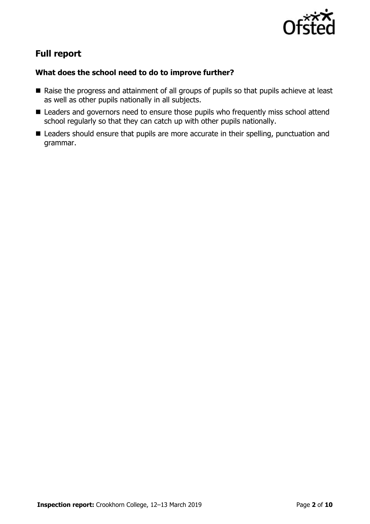

# **Full report**

## **What does the school need to do to improve further?**

- Raise the progress and attainment of all groups of pupils so that pupils achieve at least as well as other pupils nationally in all subjects.
- Leaders and governors need to ensure those pupils who frequently miss school attend school regularly so that they can catch up with other pupils nationally.
- Leaders should ensure that pupils are more accurate in their spelling, punctuation and grammar.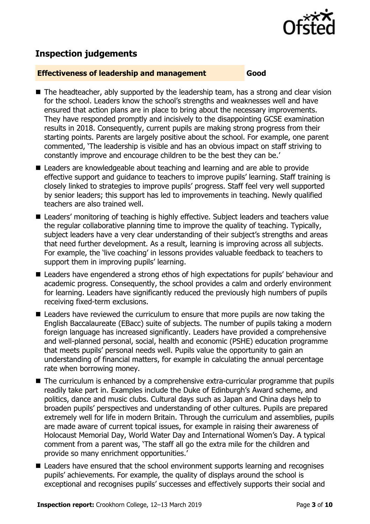

## **Inspection judgements**

#### **Effectiveness of leadership and management Good**

- The headteacher, ably supported by the leadership team, has a strong and clear vision for the school. Leaders know the school's strengths and weaknesses well and have ensured that action plans are in place to bring about the necessary improvements. They have responded promptly and incisively to the disappointing GCSE examination results in 2018. Consequently, current pupils are making strong progress from their starting points. Parents are largely positive about the school. For example, one parent commented, 'The leadership is visible and has an obvious impact on staff striving to constantly improve and encourage children to be the best they can be.'
- Leaders are knowledgeable about teaching and learning and are able to provide effective support and guidance to teachers to improve pupils' learning. Staff training is closely linked to strategies to improve pupils' progress. Staff feel very well supported by senior leaders; this support has led to improvements in teaching. Newly qualified teachers are also trained well.
- Leaders' monitoring of teaching is highly effective. Subject leaders and teachers value the regular collaborative planning time to improve the quality of teaching. Typically, subject leaders have a very clear understanding of their subject's strengths and areas that need further development. As a result, learning is improving across all subjects. For example, the 'live coaching' in lessons provides valuable feedback to teachers to support them in improving pupils' learning.
- Leaders have engendered a strong ethos of high expectations for pupils' behaviour and academic progress. Consequently, the school provides a calm and orderly environment for learning. Leaders have significantly reduced the previously high numbers of pupils receiving fixed-term exclusions.
- Leaders have reviewed the curriculum to ensure that more pupils are now taking the English Baccalaureate (EBacc) suite of subjects. The number of pupils taking a modern foreign language has increased significantly. Leaders have provided a comprehensive and well-planned personal, social, health and economic (PSHE) education programme that meets pupils' personal needs well. Pupils value the opportunity to gain an understanding of financial matters, for example in calculating the annual percentage rate when borrowing money.
- The curriculum is enhanced by a comprehensive extra-curricular programme that pupils readily take part in. Examples include the Duke of Edinburgh's Award scheme, and politics, dance and music clubs. Cultural days such as Japan and China days help to broaden pupils' perspectives and understanding of other cultures. Pupils are prepared extremely well for life in modern Britain. Through the curriculum and assemblies, pupils are made aware of current topical issues, for example in raising their awareness of Holocaust Memorial Day, World Water Day and International Women's Day. A typical comment from a parent was, 'The staff all go the extra mile for the children and provide so many enrichment opportunities.'
- Leaders have ensured that the school environment supports learning and recognises pupils' achievements. For example, the quality of displays around the school is exceptional and recognises pupils' successes and effectively supports their social and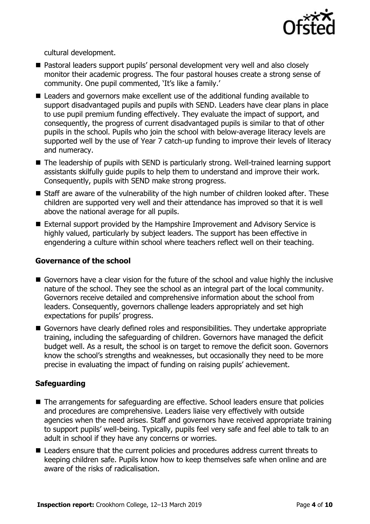

cultural development.

- Pastoral leaders support pupils' personal development very well and also closely monitor their academic progress. The four pastoral houses create a strong sense of community. One pupil commented, 'It's like a family.'
- Leaders and governors make excellent use of the additional funding available to support disadvantaged pupils and pupils with SEND. Leaders have clear plans in place to use pupil premium funding effectively. They evaluate the impact of support, and consequently, the progress of current disadvantaged pupils is similar to that of other pupils in the school. Pupils who join the school with below-average literacy levels are supported well by the use of Year 7 catch-up funding to improve their levels of literacy and numeracy.
- The leadership of pupils with SEND is particularly strong. Well-trained learning support assistants skilfully guide pupils to help them to understand and improve their work. Consequently, pupils with SEND make strong progress.
- Staff are aware of the vulnerability of the high number of children looked after. These children are supported very well and their attendance has improved so that it is well above the national average for all pupils.
- External support provided by the Hampshire Improvement and Advisory Service is highly valued, particularly by subject leaders. The support has been effective in engendering a culture within school where teachers reflect well on their teaching.

#### **Governance of the school**

- Governors have a clear vision for the future of the school and value highly the inclusive nature of the school. They see the school as an integral part of the local community. Governors receive detailed and comprehensive information about the school from leaders. Consequently, governors challenge leaders appropriately and set high expectations for pupils' progress.
- Governors have clearly defined roles and responsibilities. They undertake appropriate training, including the safeguarding of children. Governors have managed the deficit budget well. As a result, the school is on target to remove the deficit soon. Governors know the school's strengths and weaknesses, but occasionally they need to be more precise in evaluating the impact of funding on raising pupils' achievement.

### **Safeguarding**

- The arrangements for safeguarding are effective. School leaders ensure that policies and procedures are comprehensive. Leaders liaise very effectively with outside agencies when the need arises. Staff and governors have received appropriate training to support pupils' well-being. Typically, pupils feel very safe and feel able to talk to an adult in school if they have any concerns or worries.
- Leaders ensure that the current policies and procedures address current threats to keeping children safe. Pupils know how to keep themselves safe when online and are aware of the risks of radicalisation.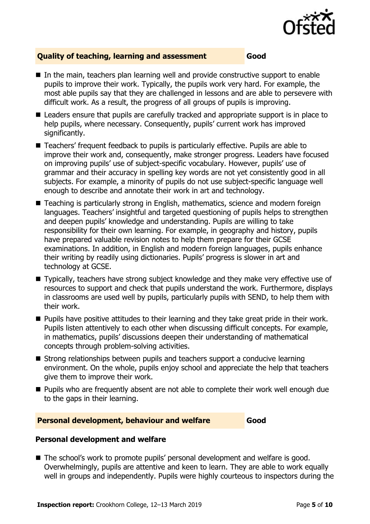

#### **Quality of teaching, learning and assessment Good**

- In the main, teachers plan learning well and provide constructive support to enable pupils to improve their work. Typically, the pupils work very hard. For example, the most able pupils say that they are challenged in lessons and are able to persevere with difficult work. As a result, the progress of all groups of pupils is improving.
- Leaders ensure that pupils are carefully tracked and appropriate support is in place to help pupils, where necessary. Consequently, pupils' current work has improved significantly.
- Teachers' frequent feedback to pupils is particularly effective. Pupils are able to improve their work and, consequently, make stronger progress. Leaders have focused on improving pupils' use of subject-specific vocabulary. However, pupils' use of grammar and their accuracy in spelling key words are not yet consistently good in all subjects. For example, a minority of pupils do not use subject-specific language well enough to describe and annotate their work in art and technology.
- Teaching is particularly strong in English, mathematics, science and modern foreign languages. Teachers' insightful and targeted questioning of pupils helps to strengthen and deepen pupils' knowledge and understanding. Pupils are willing to take responsibility for their own learning. For example, in geography and history, pupils have prepared valuable revision notes to help them prepare for their GCSE examinations. In addition, in English and modern foreign languages, pupils enhance their writing by readily using dictionaries. Pupils' progress is slower in art and technology at GCSE.
- Typically, teachers have strong subject knowledge and they make very effective use of resources to support and check that pupils understand the work. Furthermore, displays in classrooms are used well by pupils, particularly pupils with SEND, to help them with their work.
- **Pupils have positive attitudes to their learning and they take great pride in their work.** Pupils listen attentively to each other when discussing difficult concepts. For example, in mathematics, pupils' discussions deepen their understanding of mathematical concepts through problem-solving activities.
- Strong relationships between pupils and teachers support a conducive learning environment. On the whole, pupils enjoy school and appreciate the help that teachers give them to improve their work.
- **Pupils who are frequently absent are not able to complete their work well enough due** to the gaps in their learning.

#### **Personal development, behaviour and welfare Good**

#### **Personal development and welfare**

■ The school's work to promote pupils' personal development and welfare is good. Overwhelmingly, pupils are attentive and keen to learn. They are able to work equally well in groups and independently. Pupils were highly courteous to inspectors during the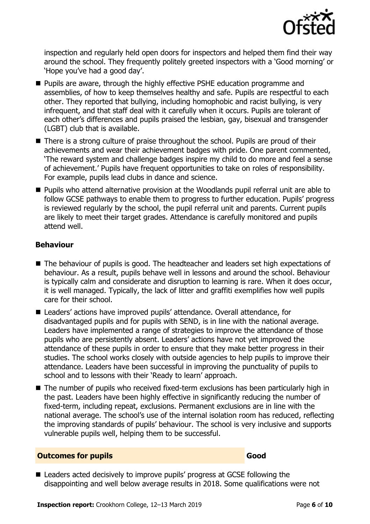

inspection and regularly held open doors for inspectors and helped them find their way around the school. They frequently politely greeted inspectors with a 'Good morning' or 'Hope you've had a good day'.

- **Pupils are aware, through the highly effective PSHE education programme and** assemblies, of how to keep themselves healthy and safe. Pupils are respectful to each other. They reported that bullying, including homophobic and racist bullying, is very infrequent, and that staff deal with it carefully when it occurs. Pupils are tolerant of each other's differences and pupils praised the lesbian, gay, bisexual and transgender (LGBT) club that is available.
- There is a strong culture of praise throughout the school. Pupils are proud of their achievements and wear their achievement badges with pride. One parent commented, 'The reward system and challenge badges inspire my child to do more and feel a sense of achievement.' Pupils have frequent opportunities to take on roles of responsibility. For example, pupils lead clubs in dance and science.
- **Pupils who attend alternative provision at the Woodlands pupil referral unit are able to** follow GCSE pathways to enable them to progress to further education. Pupils' progress is reviewed regularly by the school, the pupil referral unit and parents. Current pupils are likely to meet their target grades. Attendance is carefully monitored and pupils attend well.

### **Behaviour**

- The behaviour of pupils is good. The headteacher and leaders set high expectations of behaviour. As a result, pupils behave well in lessons and around the school. Behaviour is typically calm and considerate and disruption to learning is rare. When it does occur, it is well managed. Typically, the lack of litter and graffiti exemplifies how well pupils care for their school.
- Leaders' actions have improved pupils' attendance. Overall attendance, for disadvantaged pupils and for pupils with SEND, is in line with the national average. Leaders have implemented a range of strategies to improve the attendance of those pupils who are persistently absent. Leaders' actions have not yet improved the attendance of these pupils in order to ensure that they make better progress in their studies. The school works closely with outside agencies to help pupils to improve their attendance. Leaders have been successful in improving the punctuality of pupils to school and to lessons with their 'Ready to learn' approach.
- The number of pupils who received fixed-term exclusions has been particularly high in the past. Leaders have been highly effective in significantly reducing the number of fixed-term, including repeat, exclusions. Permanent exclusions are in line with the national average. The school's use of the internal isolation room has reduced, reflecting the improving standards of pupils' behaviour. The school is very inclusive and supports vulnerable pupils well, helping them to be successful.

### **Outcomes for pupils Good**

■ Leaders acted decisively to improve pupils' progress at GCSE following the disappointing and well below average results in 2018. Some qualifications were not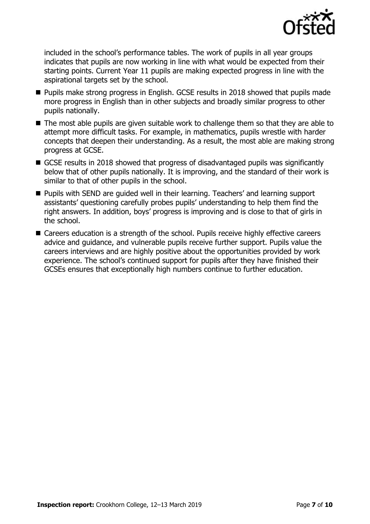

included in the school's performance tables. The work of pupils in all year groups indicates that pupils are now working in line with what would be expected from their starting points. Current Year 11 pupils are making expected progress in line with the aspirational targets set by the school.

- **Pupils make strong progress in English. GCSE results in 2018 showed that pupils made** more progress in English than in other subjects and broadly similar progress to other pupils nationally.
- The most able pupils are given suitable work to challenge them so that they are able to attempt more difficult tasks. For example, in mathematics, pupils wrestle with harder concepts that deepen their understanding. As a result, the most able are making strong progress at GCSE.
- GCSE results in 2018 showed that progress of disadvantaged pupils was significantly below that of other pupils nationally. It is improving, and the standard of their work is similar to that of other pupils in the school.
- **Pupils with SEND are quided well in their learning. Teachers' and learning support** assistants' questioning carefully probes pupils' understanding to help them find the right answers. In addition, boys' progress is improving and is close to that of girls in the school.
- Careers education is a strength of the school. Pupils receive highly effective careers advice and guidance, and vulnerable pupils receive further support. Pupils value the careers interviews and are highly positive about the opportunities provided by work experience. The school's continued support for pupils after they have finished their GCSEs ensures that exceptionally high numbers continue to further education.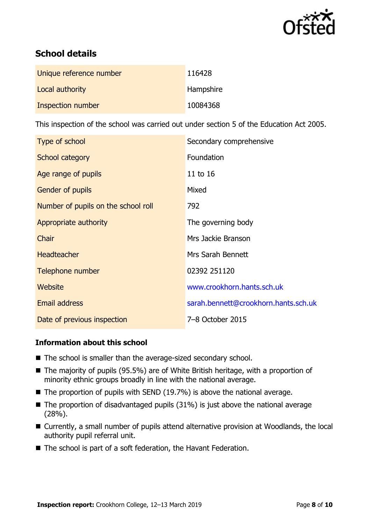

# **School details**

| Unique reference number | 116428    |
|-------------------------|-----------|
| Local authority         | Hampshire |
| Inspection number       | 10084368  |

This inspection of the school was carried out under section 5 of the Education Act 2005.

| Type of school                      | Secondary comprehensive              |
|-------------------------------------|--------------------------------------|
| School category                     | Foundation                           |
| Age range of pupils                 | 11 to 16                             |
| <b>Gender of pupils</b>             | Mixed                                |
| Number of pupils on the school roll | 792                                  |
| Appropriate authority               | The governing body                   |
| Chair                               | Mrs Jackie Branson                   |
| <b>Headteacher</b>                  | Mrs Sarah Bennett                    |
| Telephone number                    | 02392 251120                         |
| Website                             | www.crookhorn.hants.sch.uk           |
| <b>Email address</b>                | sarah.bennett@crookhorn.hants.sch.uk |
| Date of previous inspection         | 7-8 October 2015                     |

### **Information about this school**

- The school is smaller than the average-sized secondary school.
- The majority of pupils (95.5%) are of White British heritage, with a proportion of minority ethnic groups broadly in line with the national average.
- $\blacksquare$  The proportion of pupils with SEND (19.7%) is above the national average.
- $\blacksquare$  The proportion of disadvantaged pupils (31%) is just above the national average (28%).
- Currently, a small number of pupils attend alternative provision at Woodlands, the local authority pupil referral unit.
- The school is part of a soft federation, the Havant Federation.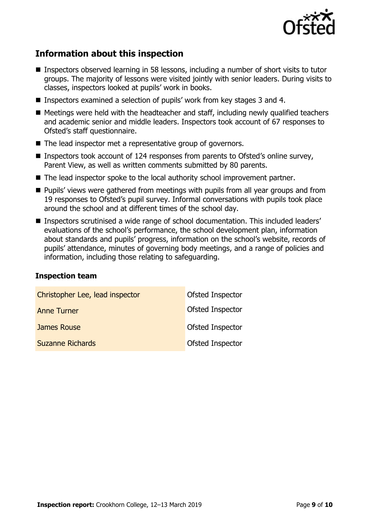

## **Information about this inspection**

- Inspectors observed learning in 58 lessons, including a number of short visits to tutor groups. The majority of lessons were visited jointly with senior leaders. During visits to classes, inspectors looked at pupils' work in books.
- Inspectors examined a selection of pupils' work from key stages 3 and 4.
- Meetings were held with the headteacher and staff, including newly qualified teachers and academic senior and middle leaders. Inspectors took account of 67 responses to Ofsted's staff questionnaire.
- The lead inspector met a representative group of governors.
- Inspectors took account of 124 responses from parents to Ofsted's online survey, Parent View, as well as written comments submitted by 80 parents.
- The lead inspector spoke to the local authority school improvement partner.
- **Pupils'** views were gathered from meetings with pupils from all year groups and from 19 responses to Ofsted's pupil survey. Informal conversations with pupils took place around the school and at different times of the school day.
- Inspectors scrutinised a wide range of school documentation. This included leaders' evaluations of the school's performance, the school development plan, information about standards and pupils' progress, information on the school's website, records of pupils' attendance, minutes of governing body meetings, and a range of policies and information, including those relating to safeguarding.

#### **Inspection team**

| Christopher Lee, lead inspector | Ofsted Inspector |
|---------------------------------|------------------|
| <b>Anne Turner</b>              | Ofsted Inspector |
| James Rouse                     | Ofsted Inspector |
| <b>Suzanne Richards</b>         | Ofsted Inspector |